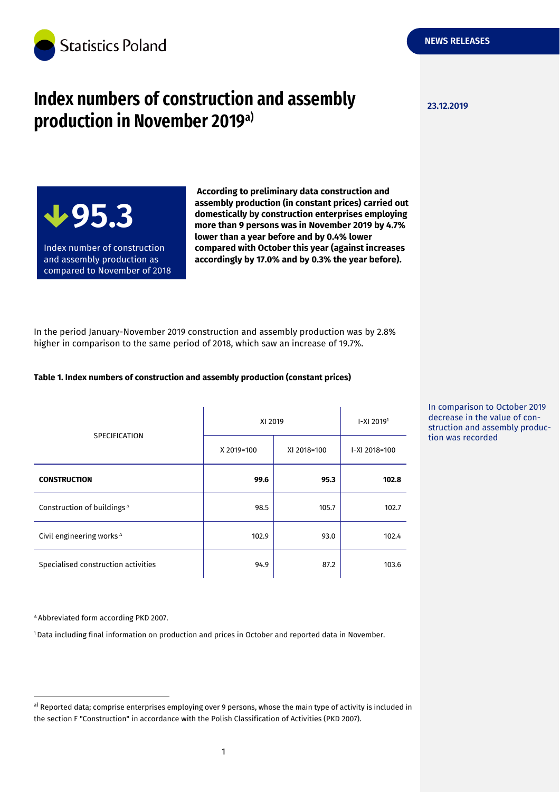

# **Index numbers of construction and assembly production in November 2019a)**

**23.12.2019**

**NEWS RELEASES**

**95.3**

Index number of construction and assembly production as compared to November of 2018

**According to preliminary data construction and assembly production (in constant prices) carried out domestically by construction enterprises employing more than 9 persons was in November 2019 by 4.7% lower than a year before and by 0.4% lower compared with October this year (against increases accordingly by 17.0% and by 0.3% the year before).**

In the period January-November 2019 construction and assembly production was by 2.8% higher in comparison to the same period of 2018, which saw an increase of 19.7%.

### **Table 1. Index numbers of construction and assembly production (constant prices)**

| <b>SPECIFICATION</b>                   | XI 2019    |             | $I-XI$ 2019 <sup>1</sup> |
|----------------------------------------|------------|-------------|--------------------------|
|                                        | X 2019=100 | XI 2018=100 | I-XI 2018=100            |
| <b>CONSTRUCTION</b>                    | 99.6       | 95.3        | 102.8                    |
| Construction of buildings <sup>A</sup> | 98.5       | 105.7       | 102.7                    |
| Civil engineering works $^{\Delta}$    | 102.9      | 93.0        | 102.4                    |
| Specialised construction activities    | 94.9       | 87.2        | 103.6                    |

In comparison to October 2019 decrease in the value of construction and assembly production was recorded

Abbreviated form according PKD 2007.

-

<sup>1</sup>Data including final information on production and prices in October and reported data in November.

a) Reported data; comprise enterprises employing over 9 persons, whose the main type of activity is included in the section F "Construction" in accordance with the Polish Classification of Activities (PKD 2007).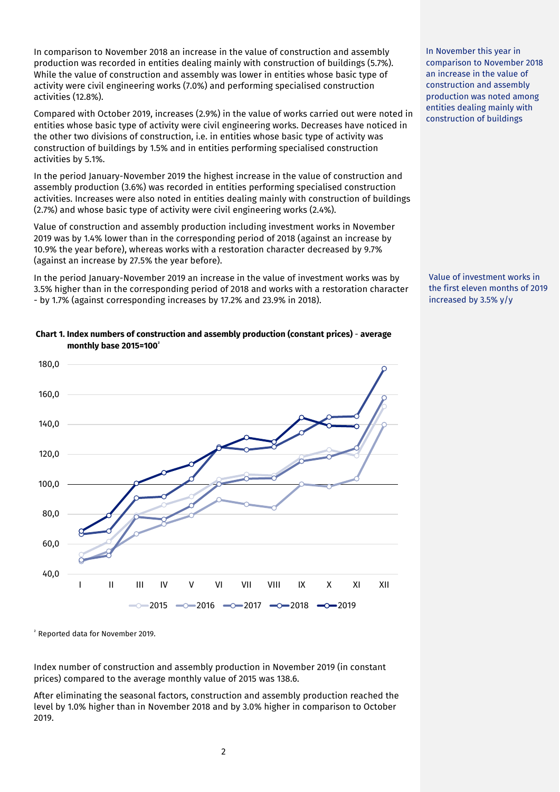In comparison to November 2018 an increase in the value of construction and assembly production was recorded in entities dealing mainly with construction of buildings (5.7%). While the value of construction and assembly was lower in entities whose basic type of activity were civil engineering works (7.0%) and performing specialised construction activities (12.8%).

Compared with October 2019, increases (2.9%) in the value of works carried out were noted in entities whose basic type of activity were civil engineering works. Decreases have noticed in the other two divisions of construction, i.e. in entities whose basic type of activity was construction of buildings by 1.5% and in entities performing specialised construction activities by 5.1%.

In the period January-November 2019 the highest increase in the value of construction and assembly production (3.6%) was recorded in entities performing specialised construction activities. Increases were also noted in entities dealing mainly with construction of buildings (2.7%) and whose basic type of activity were civil engineering works (2.4%).

Value of construction and assembly production including investment works in November 2019 was by 1.4% lower than in the corresponding period of 2018 (against an increase by 10.9% the year before), whereas works with a restoration character decreased by 9.7% (against an increase by 27.5% the year before).

In the period January-November 2019 an increase in the value of investment works was by 3.5% higher than in the corresponding period of 2018 and works with a restoration character - by 1.7% (against corresponding increases by 17.2% and 23.9% in 2018).

# 120,0 140,0 160,0 180,0

## **Chart 1. Index numbers of construction and assembly production (constant prices)** - **average monthly base 2015=100<sup>²</sup>**

<sup>²</sup> Reported data for November 2019.

40,0

60,0

80,0

100,0

Index number of construction and assembly production in November 2019 (in constant prices) compared to the average monthly value of 2015 was 138.6.

I II III IV V VI VII VIII IX X XI XII

 $-$ 2015  $-$ 2016  $-$ 0 $-$ 2017  $-$ 0 $-$ 2018  $-$ 0 $-$ 2019

After eliminating the seasonal factors, construction and assembly production reached the level by 1.0% higher than in November 2018 and by 3.0% higher in comparison to October 2019.

2

In November this year in comparison to November 2018 an increase in the value of construction and assembly production was noted among entities dealing mainly with construction of buildings

Value of investment works in the first eleven months of 2019 increased by 3.5% y/y